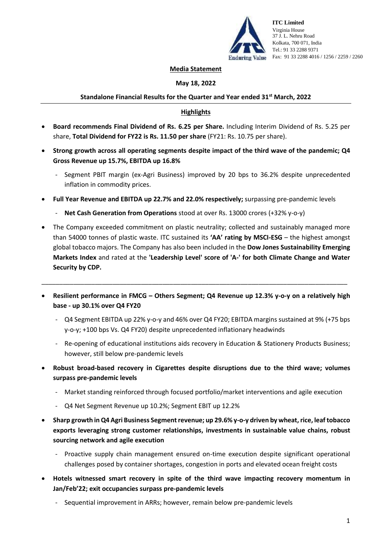

**ITC Limited** Virginia House 37 J. L. Nehru Road Kolkata, 700 071, India Tel.: 91 33 2288 9371 Enduring Value Fax: 91 33 2288 4016 / 1256 / 2259 / 2260

#### **Media Statement**

## **May 18, 2022**

## **Standalone Financial Results for the Quarter and Year ended 31st March, 2022**

## **Highlights**

- **Board recommends Final Dividend of Rs. 6.25 per Share.** Including Interim Dividend of Rs. 5.25 per share, **Total Dividend for FY22 is Rs. 11.50 per share** (FY21: Rs. 10.75 per share).
- **Strong growth across all operating segments despite impact of the third wave of the pandemic; Q4 Gross Revenue up 15.7%, EBITDA up 16.8%**
	- Segment PBIT margin (ex-Agri Business) improved by 20 bps to 36.2% despite unprecedented inflation in commodity prices.
- **Full Year Revenue and EBITDA up 22.7% and 22.0% respectively;** surpassing pre-pandemic levels
	- **Net Cash Generation from Operations** stood at over Rs. 13000 crores (+32% y-o-y)
- The Company exceeded commitment on plastic neutrality; collected and sustainably managed more than 54000 tonnes of plastic waste. ITC sustained its **'AA' rating by MSCI-ESG** – the highest amongst global tobacco majors. The Company has also been included in the **Dow Jones Sustainability Emerging Markets Index** and rated at the **'Leadership Level' score of 'A-' for both Climate Change and Water Security by CDP.**
- **Resilient performance in FMCG – Others Segment; Q4 Revenue up 12.3% y-o-y on a relatively high base - up 30.1% over Q4 FY20**

\_\_\_\_\_\_\_\_\_\_\_\_\_\_\_\_\_\_\_\_\_\_\_\_\_\_\_\_\_\_\_\_\_\_\_\_\_\_\_\_\_\_\_\_\_\_\_\_\_\_\_\_\_\_\_\_\_\_\_\_\_\_\_\_\_\_\_\_\_\_\_\_\_\_\_\_\_\_\_\_\_\_\_\_\_\_

- Q4 Segment EBITDA up 22% y-o-y and 46% over Q4 FY20; EBITDA margins sustained at 9% (+75 bps y-o-y; +100 bps Vs. Q4 FY20) despite unprecedented inflationary headwinds
- Re-opening of educational institutions aids recovery in Education & Stationery Products Business; however, still below pre-pandemic levels
- **Robust broad-based recovery in Cigarettes despite disruptions due to the third wave; volumes surpass pre-pandemic levels**
	- Market standing reinforced through focused portfolio/market interventions and agile execution
	- Q4 Net Segment Revenue up 10.2%; Segment EBIT up 12.2%
- **Sharp growth in Q4 Agri Business Segment revenue; up 29.6% y-o-y driven by wheat, rice, leaf tobacco exports leveraging strong customer relationships, investments in sustainable value chains, robust sourcing network and agile execution**
	- Proactive supply chain management ensured on-time execution despite significant operational challenges posed by container shortages, congestion in ports and elevated ocean freight costs
- **Hotels witnessed smart recovery in spite of the third wave impacting recovery momentum in Jan/Feb'22; exit occupancies surpass pre-pandemic levels**
	- Sequential improvement in ARRs; however, remain below pre-pandemic levels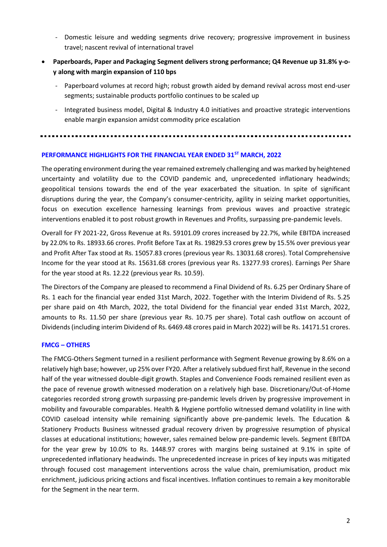- Domestic leisure and wedding segments drive recovery; progressive improvement in business travel; nascent revival of international travel
- **Paperboards, Paper and Packaging Segment delivers strong performance; Q4 Revenue up 31.8% y-oy along with margin expansion of 110 bps**
	- Paperboard volumes at record high; robust growth aided by demand revival across most end-user segments; sustainable products portfolio continues to be scaled up
	- Integrated business model, Digital & Industry 4.0 initiatives and proactive strategic interventions enable margin expansion amidst commodity price escalation

### **PERFORMANCE HIGHLIGHTS FOR THE FINANCIAL YEAR ENDED 31ST MARCH, 2022**

The operating environment during the year remained extremely challenging and was marked by heightened uncertainty and volatility due to the COVID pandemic and, unprecedented inflationary headwinds; geopolitical tensions towards the end of the year exacerbated the situation. In spite of significant disruptions during the year, the Company's consumer-centricity, agility in seizing market opportunities, focus on execution excellence harnessing learnings from previous waves and proactive strategic interventions enabled it to post robust growth in Revenues and Profits, surpassing pre-pandemic levels.

Overall for FY 2021-22, Gross Revenue at Rs. 59101.09 crores increased by 22.7%, while EBITDA increased by 22.0% to Rs. 18933.66 crores. Profit Before Tax at Rs. 19829.53 crores grew by 15.5% over previous year and Profit After Tax stood at Rs. 15057.83 crores (previous year Rs. 13031.68 crores). Total Comprehensive Income for the year stood at Rs. 15631.68 crores (previous year Rs. 13277.93 crores). Earnings Per Share for the year stood at Rs. 12.22 (previous year Rs. 10.59).

The Directors of the Company are pleased to recommend a Final Dividend of Rs. 6.25 per Ordinary Share of Rs. 1 each for the financial year ended 31st March, 2022. Together with the Interim Dividend of Rs. 5.25 per share paid on 4th March, 2022, the total Dividend for the financial year ended 31st March, 2022, amounts to Rs. 11.50 per share (previous year Rs. 10.75 per share). Total cash outflow on account of Dividends (including interim Dividend of Rs. 6469.48 crores paid in March 2022) will be Rs. 14171.51 crores.

# **FMCG – OTHERS**

The FMCG-Others Segment turned in a resilient performance with Segment Revenue growing by 8.6% on a relatively high base; however, up 25% over FY20. After a relatively subdued first half, Revenue in the second half of the year witnessed double-digit growth. Staples and Convenience Foods remained resilient even as the pace of revenue growth witnessed moderation on a relatively high base. Discretionary/Out-of-Home categories recorded strong growth surpassing pre-pandemic levels driven by progressive improvement in mobility and favourable comparables. Health & Hygiene portfolio witnessed demand volatility in line with COVID caseload intensity while remaining significantly above pre-pandemic levels. The Education & Stationery Products Business witnessed gradual recovery driven by progressive resumption of physical classes at educational institutions; however, sales remained below pre-pandemic levels. Segment EBITDA for the year grew by 10.0% to Rs. 1448.97 crores with margins being sustained at 9.1% in spite of unprecedented inflationary headwinds. The unprecedented increase in prices of key inputs was mitigated through focused cost management interventions across the value chain, premiumisation, product mix enrichment, judicious pricing actions and fiscal incentives. Inflation continues to remain a key monitorable for the Segment in the near term.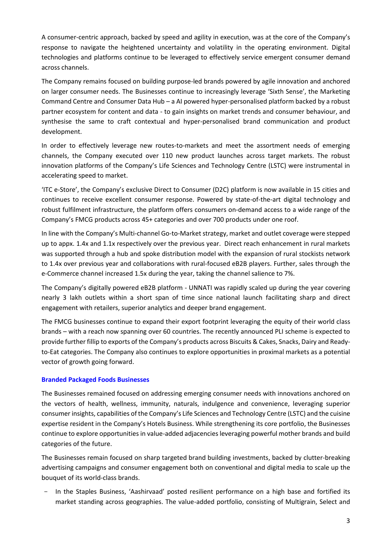A consumer-centric approach, backed by speed and agility in execution, was at the core of the Company's response to navigate the heightened uncertainty and volatility in the operating environment. Digital technologies and platforms continue to be leveraged to effectively service emergent consumer demand across channels.

The Company remains focused on building purpose-led brands powered by agile innovation and anchored on larger consumer needs. The Businesses continue to increasingly leverage 'Sixth Sense', the Marketing Command Centre and Consumer Data Hub – a AI powered hyper-personalised platform backed by a robust partner ecosystem for content and data - to gain insights on market trends and consumer behaviour, and synthesise the same to craft contextual and hyper-personalised brand communication and product development.

In order to effectively leverage new routes-to-markets and meet the assortment needs of emerging channels, the Company executed over 110 new product launches across target markets. The robust innovation platforms of the Company's Life Sciences and Technology Centre (LSTC) were instrumental in accelerating speed to market.

'ITC e-Store', the Company's exclusive Direct to Consumer (D2C) platform is now available in 15 cities and continues to receive excellent consumer response. Powered by state-of-the-art digital technology and robust fulfilment infrastructure, the platform offers consumers on-demand access to a wide range of the Company's FMCG products across 45+ categories and over 700 products under one roof.

In line with the Company's Multi-channel Go-to-Market strategy, market and outlet coverage were stepped up to appx. 1.4x and 1.1x respectively over the previous year. Direct reach enhancement in rural markets was supported through a hub and spoke distribution model with the expansion of rural stockists network to 1.4x over previous year and collaborations with rural-focused eB2B players. Further, sales through the e-Commerce channel increased 1.5x during the year, taking the channel salience to 7%.

The Company's digitally powered eB2B platform - UNNATI was rapidly scaled up during the year covering nearly 3 lakh outlets within a short span of time since national launch facilitating sharp and direct engagement with retailers, superior analytics and deeper brand engagement.

The FMCG businesses continue to expand their export footprint leveraging the equity of their world class brands – with a reach now spanning over 60 countries. The recently announced PLI scheme is expected to provide further fillip to exports of the Company's products across Biscuits & Cakes, Snacks, Dairy and Readyto-Eat categories. The Company also continues to explore opportunities in proximal markets as a potential vector of growth going forward.

# **Branded Packaged Foods Businesses**

The Businesses remained focused on addressing emerging consumer needs with innovations anchored on the vectors of health, wellness, immunity, naturals, indulgence and convenience, leveraging superior consumer insights, capabilities of the Company's Life Sciences and Technology Centre (LSTC) and the cuisine expertise resident in the Company's Hotels Business. While strengthening its core portfolio, the Businesses continue to explore opportunities in value-added adjacencies leveraging powerful mother brands and build categories of the future.

The Businesses remain focused on sharp targeted brand building investments, backed by clutter-breaking advertising campaigns and consumer engagement both on conventional and digital media to scale up the bouquet of its world-class brands.

In the Staples Business, 'Aashirvaad' posted resilient performance on a high base and fortified its market standing across geographies. The value-added portfolio, consisting of Multigrain, Select and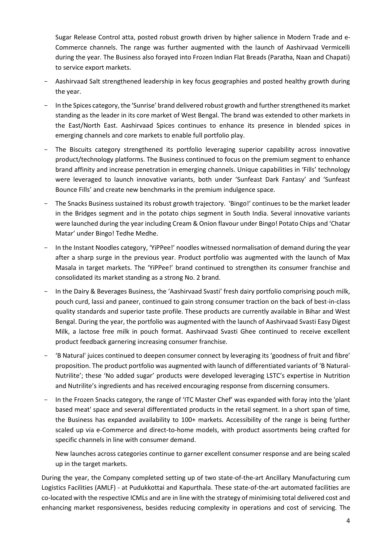Sugar Release Control atta, posted robust growth driven by higher salience in Modern Trade and e-Commerce channels. The range was further augmented with the launch of Aashirvaad Vermicelli during the year. The Business also forayed into Frozen Indian Flat Breads (Paratha, Naan and Chapati) to service export markets.

- Aashirvaad Salt strengthened leadership in key focus geographies and posted healthy growth during the year.
- In the Spices category, the 'Sunrise' brand delivered robust growth and further strengthened its market standing as the leader in its core market of West Bengal. The brand was extended to other markets in the East/North East. Aashirvaad Spices continues to enhance its presence in blended spices in emerging channels and core markets to enable full portfolio play.
- The Biscuits category strengthened its portfolio leveraging superior capability across innovative product/technology platforms. The Business continued to focus on the premium segment to enhance brand affinity and increase penetration in emerging channels. Unique capabilities in 'Fills' technology were leveraged to launch innovative variants, both under 'Sunfeast Dark Fantasy' and 'Sunfeast Bounce Fills' and create new benchmarks in the premium indulgence space.
- The Snacks Business sustained its robust growth trajectory. 'Bingo!' continues to be the market leader in the Bridges segment and in the potato chips segment in South India. Several innovative variants were launched during the year including Cream & Onion flavour under Bingo! Potato Chips and 'Chatar Matar' under Bingo! Tedhe Medhe.
- In the Instant Noodles category, 'YiPPee!' noodles witnessed normalisation of demand during the year after a sharp surge in the previous year. Product portfolio was augmented with the launch of Max Masala in target markets. The 'YiPPee!' brand continued to strengthen its consumer franchise and consolidated its market standing as a strong No. 2 brand.
- In the Dairy & Beverages Business, the 'Aashirvaad Svasti' fresh dairy portfolio comprising pouch milk, pouch curd, lassi and paneer, continued to gain strong consumer traction on the back of best-in-class quality standards and superior taste profile. These products are currently available in Bihar and West Bengal. During the year, the portfolio was augmented with the launch of Aashirvaad Svasti Easy Digest Milk, a lactose free milk in pouch format. Aashirvaad Svasti Ghee continued to receive excellent product feedback garnering increasing consumer franchise.
- 'B Natural' juices continued to deepen consumer connect by leveraging its 'goodness of fruit and fibre' proposition. The product portfolio was augmented with launch of differentiated variants of 'B Natural-Nutrilite'; these 'No added sugar' products were developed leveraging LSTC's expertise in Nutrition and Nutrilite's ingredients and has received encouraging response from discerning consumers.
- In the Frozen Snacks category, the range of 'ITC Master Chef' was expanded with foray into the 'plant based meat' space and several differentiated products in the retail segment. In a short span of time, the Business has expanded availability to 100+ markets. Accessibility of the range is being further scaled up via e-Commerce and direct-to-home models, with product assortments being crafted for specific channels in line with consumer demand.

New launches across categories continue to garner excellent consumer response and are being scaled up in the target markets.

During the year, the Company completed setting up of two state-of-the-art Ancillary Manufacturing cum Logistics Facilities (AMLF) - at Pudukkottai and Kapurthala. These state-of-the-art automated facilities are co-located with the respective ICMLs and are in line with the strategy of minimising total delivered cost and enhancing market responsiveness, besides reducing complexity in operations and cost of servicing. The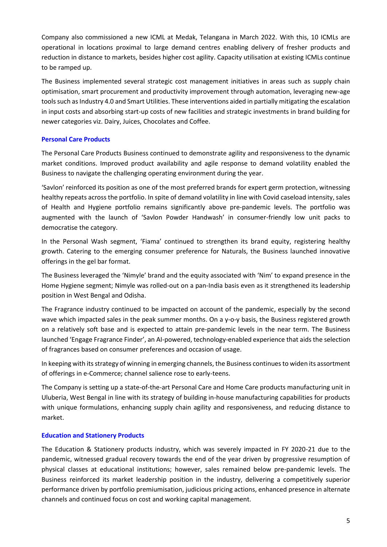Company also commissioned a new ICML at Medak, Telangana in March 2022. With this, 10 ICMLs are operational in locations proximal to large demand centres enabling delivery of fresher products and reduction in distance to markets, besides higher cost agility. Capacity utilisation at existing ICMLs continue to be ramped up.

The Business implemented several strategic cost management initiatives in areas such as supply chain optimisation, smart procurement and productivity improvement through automation, leveraging new-age tools such as Industry 4.0 and Smart Utilities. These interventions aided in partially mitigating the escalation in input costs and absorbing start-up costs of new facilities and strategic investments in brand building for newer categories viz. Dairy, Juices, Chocolates and Coffee.

# **Personal Care Products**

The Personal Care Products Business continued to demonstrate agility and responsiveness to the dynamic market conditions. Improved product availability and agile response to demand volatility enabled the Business to navigate the challenging operating environment during the year.

'Savlon' reinforced its position as one of the most preferred brands for expert germ protection, witnessing healthy repeats across the portfolio. In spite of demand volatility in line with Covid caseload intensity, sales of Health and Hygiene portfolio remains significantly above pre-pandemic levels. The portfolio was augmented with the launch of 'Savlon Powder Handwash' in consumer-friendly low unit packs to democratise the category.

In the Personal Wash segment, 'Fiama' continued to strengthen its brand equity, registering healthy growth. Catering to the emerging consumer preference for Naturals, the Business launched innovative offerings in the gel bar format.

The Business leveraged the 'Nimyle' brand and the equity associated with 'Nim' to expand presence in the Home Hygiene segment; Nimyle was rolled-out on a pan-India basis even as it strengthened its leadership position in West Bengal and Odisha.

The Fragrance industry continued to be impacted on account of the pandemic, especially by the second wave which impacted sales in the peak summer months. On a y-o-y basis, the Business registered growth on a relatively soft base and is expected to attain pre-pandemic levels in the near term. The Business launched 'Engage Fragrance Finder', an AI-powered, technology-enabled experience that aids the selection of fragrances based on consumer preferences and occasion of usage.

In keeping with its strategy of winning in emerging channels, the Business continues to widen its assortment of offerings in e-Commerce; channel salience rose to early-teens.

The Company is setting up a state-of-the-art Personal Care and Home Care products manufacturing unit in Uluberia, West Bengal in line with its strategy of building in-house manufacturing capabilities for products with unique formulations, enhancing supply chain agility and responsiveness, and reducing distance to market.

# **Education and Stationery Products**

The Education & Stationery products industry, which was severely impacted in FY 2020-21 due to the pandemic, witnessed gradual recovery towards the end of the year driven by progressive resumption of physical classes at educational institutions; however, sales remained below pre-pandemic levels. The Business reinforced its market leadership position in the industry, delivering a competitively superior performance driven by portfolio premiumisation, judicious pricing actions, enhanced presence in alternate channels and continued focus on cost and working capital management.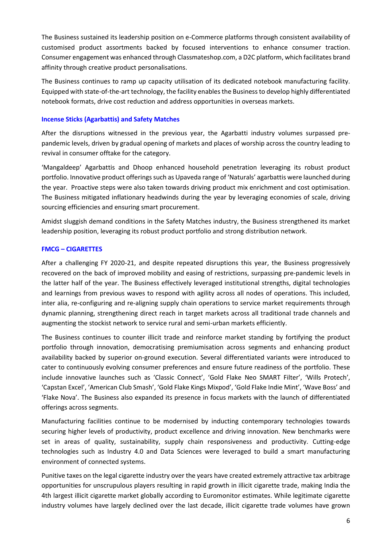The Business sustained its leadership position on e-Commerce platforms through consistent availability of customised product assortments backed by focused interventions to enhance consumer traction. Consumer engagement was enhanced through Classmateshop.com, a D2C platform, which facilitates brand affinity through creative product personalisations.

The Business continues to ramp up capacity utilisation of its dedicated notebook manufacturing facility. Equipped with state-of-the-art technology, the facility enables the Business to develop highly differentiated notebook formats, drive cost reduction and address opportunities in overseas markets.

## **Incense Sticks (Agarbattis) and Safety Matches**

After the disruptions witnessed in the previous year, the Agarbatti industry volumes surpassed prepandemic levels, driven by gradual opening of markets and places of worship across the country leading to revival in consumer offtake for the category.

'Mangaldeep' Agarbattis and Dhoop enhanced household penetration leveraging its robust product portfolio. Innovative product offerings such as Upaveda range of 'Naturals' agarbattis were launched during the year. Proactive steps were also taken towards driving product mix enrichment and cost optimisation. The Business mitigated inflationary headwinds during the year by leveraging economies of scale, driving sourcing efficiencies and ensuring smart procurement.

Amidst sluggish demand conditions in the Safety Matches industry, the Business strengthened its market leadership position, leveraging its robust product portfolio and strong distribution network.

## **FMCG – CIGARETTES**

After a challenging FY 2020-21, and despite repeated disruptions this year, the Business progressively recovered on the back of improved mobility and easing of restrictions, surpassing pre-pandemic levels in the latter half of the year. The Business effectively leveraged institutional strengths, digital technologies and learnings from previous waves to respond with agility across all nodes of operations. This included, inter alia, re-configuring and re-aligning supply chain operations to service market requirements through dynamic planning, strengthening direct reach in target markets across all traditional trade channels and augmenting the stockist network to service rural and semi-urban markets efficiently.

The Business continues to counter illicit trade and reinforce market standing by fortifying the product portfolio through innovation, democratising premiumisation across segments and enhancing product availability backed by superior on-ground execution. Several differentiated variants were introduced to cater to continuously evolving consumer preferences and ensure future readiness of the portfolio. These include innovative launches such as 'Classic Connect', 'Gold Flake Neo SMART Filter', 'Wills Protech', 'Capstan Excel', 'American Club Smash', 'Gold Flake Kings Mixpod', 'Gold Flake Indie Mint', 'Wave Boss' and 'Flake Nova'. The Business also expanded its presence in focus markets with the launch of differentiated offerings across segments.

Manufacturing facilities continue to be modernised by inducting contemporary technologies towards securing higher levels of productivity, product excellence and driving innovation. New benchmarks were set in areas of quality, sustainability, supply chain responsiveness and productivity. Cutting-edge technologies such as Industry 4.0 and Data Sciences were leveraged to build a smart manufacturing environment of connected systems.

Punitive taxes on the legal cigarette industry over the years have created extremely attractive tax arbitrage opportunities for unscrupulous players resulting in rapid growth in illicit cigarette trade, making India the 4th largest illicit cigarette market globally according to Euromonitor estimates. While legitimate cigarette industry volumes have largely declined over the last decade, illicit cigarette trade volumes have grown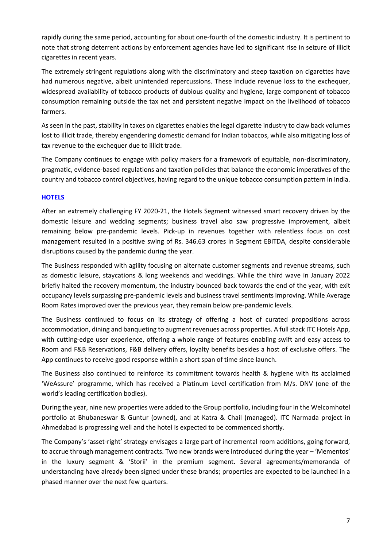rapidly during the same period, accounting for about one-fourth of the domestic industry. It is pertinent to note that strong deterrent actions by enforcement agencies have led to significant rise in seizure of illicit cigarettes in recent years.

The extremely stringent regulations along with the discriminatory and steep taxation on cigarettes have had numerous negative, albeit unintended repercussions. These include revenue loss to the exchequer, widespread availability of tobacco products of dubious quality and hygiene, large component of tobacco consumption remaining outside the tax net and persistent negative impact on the livelihood of tobacco farmers.

As seen in the past, stability in taxes on cigarettes enables the legal cigarette industry to claw back volumes lost to illicit trade, thereby engendering domestic demand for Indian tobaccos, while also mitigating loss of tax revenue to the exchequer due to illicit trade.

The Company continues to engage with policy makers for a framework of equitable, non-discriminatory, pragmatic, evidence-based regulations and taxation policies that balance the economic imperatives of the country and tobacco control objectives, having regard to the unique tobacco consumption pattern in India.

# **HOTELS**

After an extremely challenging FY 2020-21, the Hotels Segment witnessed smart recovery driven by the domestic leisure and wedding segments; business travel also saw progressive improvement, albeit remaining below pre-pandemic levels. Pick-up in revenues together with relentless focus on cost management resulted in a positive swing of Rs. 346.63 crores in Segment EBITDA, despite considerable disruptions caused by the pandemic during the year.

The Business responded with agility focusing on alternate customer segments and revenue streams, such as domestic leisure, staycations & long weekends and weddings. While the third wave in January 2022 briefly halted the recovery momentum, the industry bounced back towards the end of the year, with exit occupancy levels surpassing pre-pandemic levels and business travel sentiments improving. While Average Room Rates improved over the previous year, they remain below pre-pandemic levels.

The Business continued to focus on its strategy of offering a host of curated propositions across accommodation, dining and banqueting to augment revenues across properties. A full stack ITC Hotels App, with cutting-edge user experience, offering a whole range of features enabling swift and easy access to Room and F&B Reservations, F&B delivery offers, loyalty benefits besides a host of exclusive offers. The App continues to receive good response within a short span of time since launch.

The Business also continued to reinforce its commitment towards health & hygiene with its acclaimed 'WeAssure' programme, which has received a Platinum Level certification from M/s. DNV (one of the world's leading certification bodies).

During the year, nine new properties were added to the Group portfolio, including four in the Welcomhotel portfolio at Bhubaneswar & Guntur (owned), and at Katra & Chail (managed). ITC Narmada project in Ahmedabad is progressing well and the hotel is expected to be commenced shortly.

The Company's 'asset-right' strategy envisages a large part of incremental room additions, going forward, to accrue through management contracts. Two new brands were introduced during the year – 'Mementos' in the luxury segment & 'Storii' in the premium segment. Several agreements/memoranda of understanding have already been signed under these brands; properties are expected to be launched in a phased manner over the next few quarters.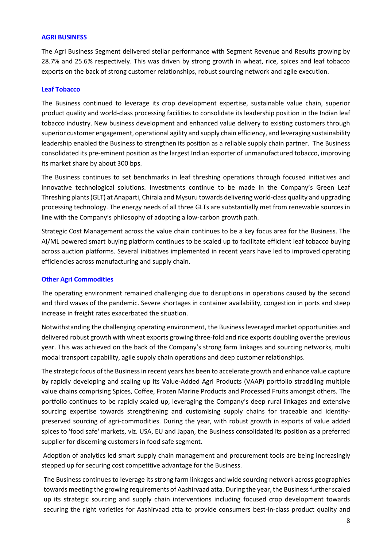#### **AGRI BUSINESS**

The Agri Business Segment delivered stellar performance with Segment Revenue and Results growing by 28.7% and 25.6% respectively. This was driven by strong growth in wheat, rice, spices and leaf tobacco exports on the back of strong customer relationships, robust sourcing network and agile execution.

### **Leaf Tobacco**

The Business continued to leverage its crop development expertise, sustainable value chain, superior product quality and world-class processing facilities to consolidate its leadership position in the Indian leaf tobacco industry. New business development and enhanced value delivery to existing customers through superior customer engagement, operational agility and supply chain efficiency, and leveraging sustainability leadership enabled the Business to strengthen its position as a reliable supply chain partner. The Business consolidated its pre-eminent position as the largest Indian exporter of unmanufactured tobacco, improving its market share by about 300 bps.

The Business continues to set benchmarks in leaf threshing operations through focused initiatives and innovative technological solutions. Investments continue to be made in the Company's Green Leaf Threshing plants (GLT) at Anaparti, Chirala and Mysuru towards delivering world-class quality and upgrading processing technology. The energy needs of all three GLTs are substantially met from renewable sources in line with the Company's philosophy of adopting a low-carbon growth path.

Strategic Cost Management across the value chain continues to be a key focus area for the Business. The AI/ML powered smart buying platform continues to be scaled up to facilitate efficient leaf tobacco buying across auction platforms. Several initiatives implemented in recent years have led to improved operating efficiencies across manufacturing and supply chain.

# **Other Agri Commodities**

The operating environment remained challenging due to disruptions in operations caused by the second and third waves of the pandemic. Severe shortages in container availability, congestion in ports and steep increase in freight rates exacerbated the situation.

Notwithstanding the challenging operating environment, the Business leveraged market opportunities and delivered robust growth with wheat exports growing three-fold and rice exports doubling over the previous year. This was achieved on the back of the Company's strong farm linkages and sourcing networks, multi modal transport capability, agile supply chain operations and deep customer relationships.

The strategic focus of the Business in recent years has been to accelerate growth and enhance value capture by rapidly developing and scaling up its Value-Added Agri Products (VAAP) portfolio straddling multiple value chains comprising Spices, Coffee, Frozen Marine Products and Processed Fruits amongst others. The portfolio continues to be rapidly scaled up, leveraging the Company's deep rural linkages and extensive sourcing expertise towards strengthening and customising supply chains for traceable and identitypreserved sourcing of agri-commodities. During the year, with robust growth in exports of value added spices to 'food safe' markets, viz. USA, EU and Japan, the Business consolidated its position as a preferred supplier for discerning customers in food safe segment.

Adoption of analytics led smart supply chain management and procurement tools are being increasingly stepped up for securing cost competitive advantage for the Business.

The Business continues to leverage its strong farm linkages and wide sourcing network across geographies towards meeting the growing requirements of Aashirvaad atta. During the year, the Business further scaled up its strategic sourcing and supply chain interventions including focused crop development towards securing the right varieties for Aashirvaad atta to provide consumers best-in-class product quality and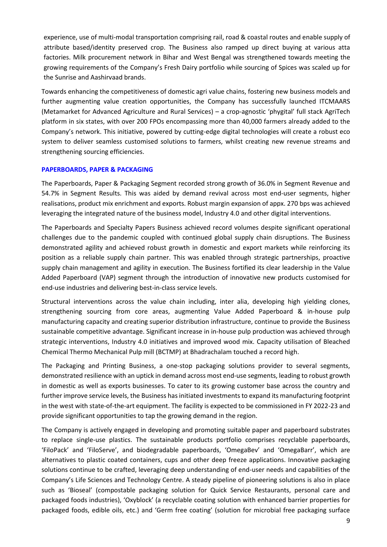experience, use of multi-modal transportation comprising rail, road & coastal routes and enable supply of attribute based/identity preserved crop. The Business also ramped up direct buying at various atta factories. Milk procurement network in Bihar and West Bengal was strengthened towards meeting the growing requirements of the Company's Fresh Dairy portfolio while sourcing of Spices was scaled up for the Sunrise and Aashirvaad brands.

Towards enhancing the competitiveness of domestic agri value chains, fostering new business models and further augmenting value creation opportunities, the Company has successfully launched ITCMAARS (Metamarket for Advanced Agriculture and Rural Services) – a crop-agnostic 'phygital' full stack AgriTech platform in six states, with over 200 FPOs encompassing more than 40,000 farmers already added to the Company's network. This initiative, powered by cutting-edge digital technologies will create a robust eco system to deliver seamless customised solutions to farmers, whilst creating new revenue streams and strengthening sourcing efficiencies.

### **PAPERBOARDS, PAPER & PACKAGING**

The Paperboards, Paper & Packaging Segment recorded strong growth of 36.0% in Segment Revenue and 54.7% in Segment Results. This was aided by demand revival across most end-user segments, higher realisations, product mix enrichment and exports. Robust margin expansion of appx. 270 bps was achieved leveraging the integrated nature of the business model, Industry 4.0 and other digital interventions.

The Paperboards and Specialty Papers Business achieved record volumes despite significant operational challenges due to the pandemic coupled with continued global supply chain disruptions. The Business demonstrated agility and achieved robust growth in domestic and export markets while reinforcing its position as a reliable supply chain partner. This was enabled through strategic partnerships, proactive supply chain management and agility in execution. The Business fortified its clear leadership in the Value Added Paperboard (VAP) segment through the introduction of innovative new products customised for end-use industries and delivering best-in-class service levels.

Structural interventions across the value chain including, inter alia, developing high yielding clones, strengthening sourcing from core areas, augmenting Value Added Paperboard & in-house pulp manufacturing capacity and creating superior distribution infrastructure, continue to provide the Business sustainable competitive advantage. Significant increase in in-house pulp production was achieved through strategic interventions, Industry 4.0 initiatives and improved wood mix. Capacity utilisation of Bleached Chemical Thermo Mechanical Pulp mill (BCTMP) at Bhadrachalam touched a record high.

The Packaging and Printing Business, a one-stop packaging solutions provider to several segments, demonstrated resilience with an uptick in demand across most end-use segments, leading to robust growth in domestic as well as exports businesses. To cater to its growing customer base across the country and further improve service levels, the Business has initiated investments to expand its manufacturing footprint in the west with state-of-the-art equipment. The facility is expected to be commissioned in FY 2022-23 and provide significant opportunities to tap the growing demand in the region.

The Company is actively engaged in developing and promoting suitable paper and paperboard substrates to replace single-use plastics. The sustainable products portfolio comprises recyclable paperboards, 'FiloPack' and 'FiloServe', and biodegradable paperboards, 'OmegaBev' and 'OmegaBarr', which are alternatives to plastic coated containers, cups and other deep freeze applications. Innovative packaging solutions continue to be crafted, leveraging deep understanding of end-user needs and capabilities of the Company's Life Sciences and Technology Centre. A steady pipeline of pioneering solutions is also in place such as 'Bioseal' (compostable packaging solution for Quick Service Restaurants, personal care and packaged foods industries), 'Oxyblock' (a recyclable coating solution with enhanced barrier properties for packaged foods, edible oils, etc.) and 'Germ free coating' (solution for microbial free packaging surface